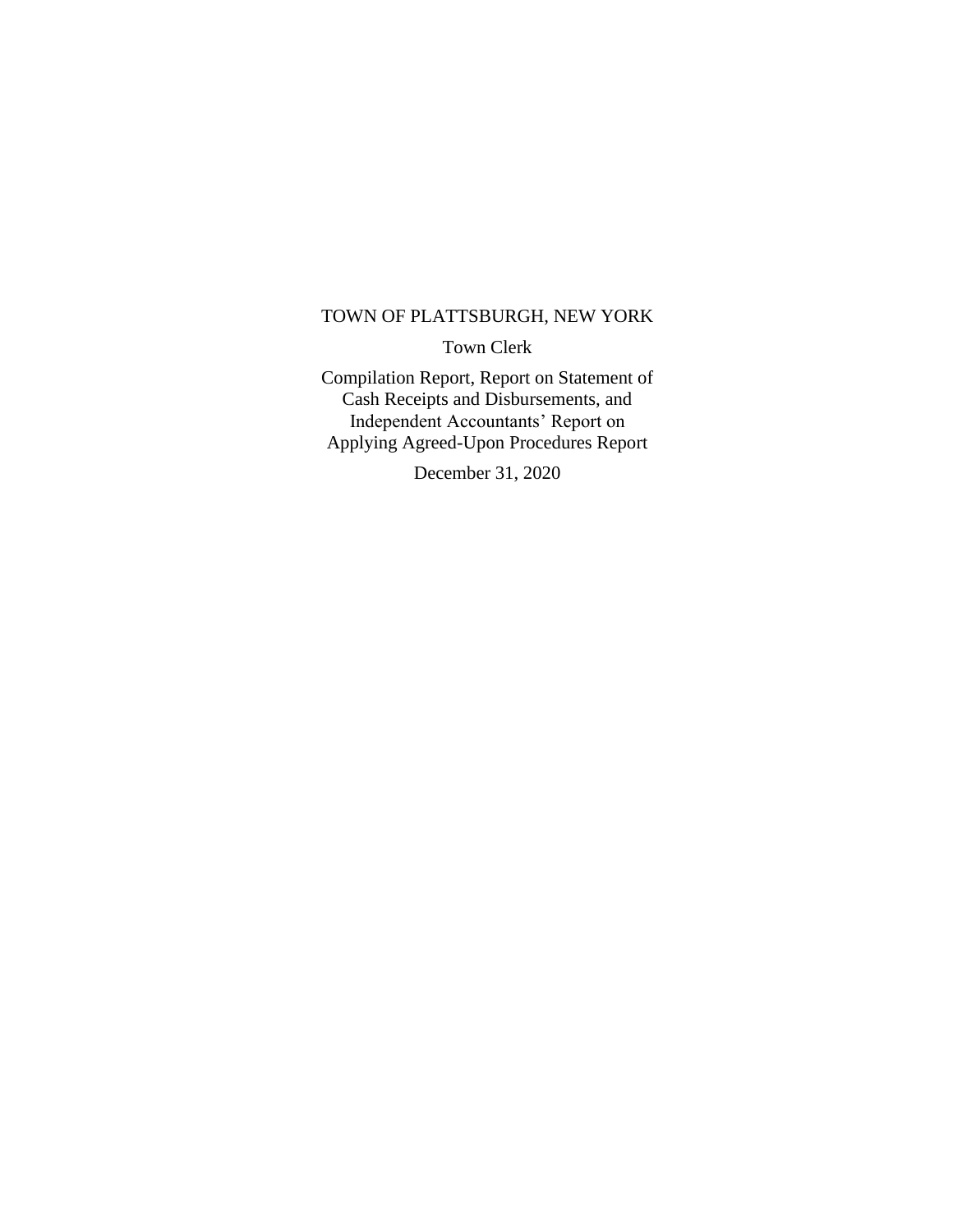#### TOWN OF PLATTSBURGH, NEW YORK

Town Clerk

Compilation Report, Report on Statement of Cash Receipts and Disbursements, and Independent Accountants' Report on Applying Agreed-Upon Procedures Report

December 31, 2020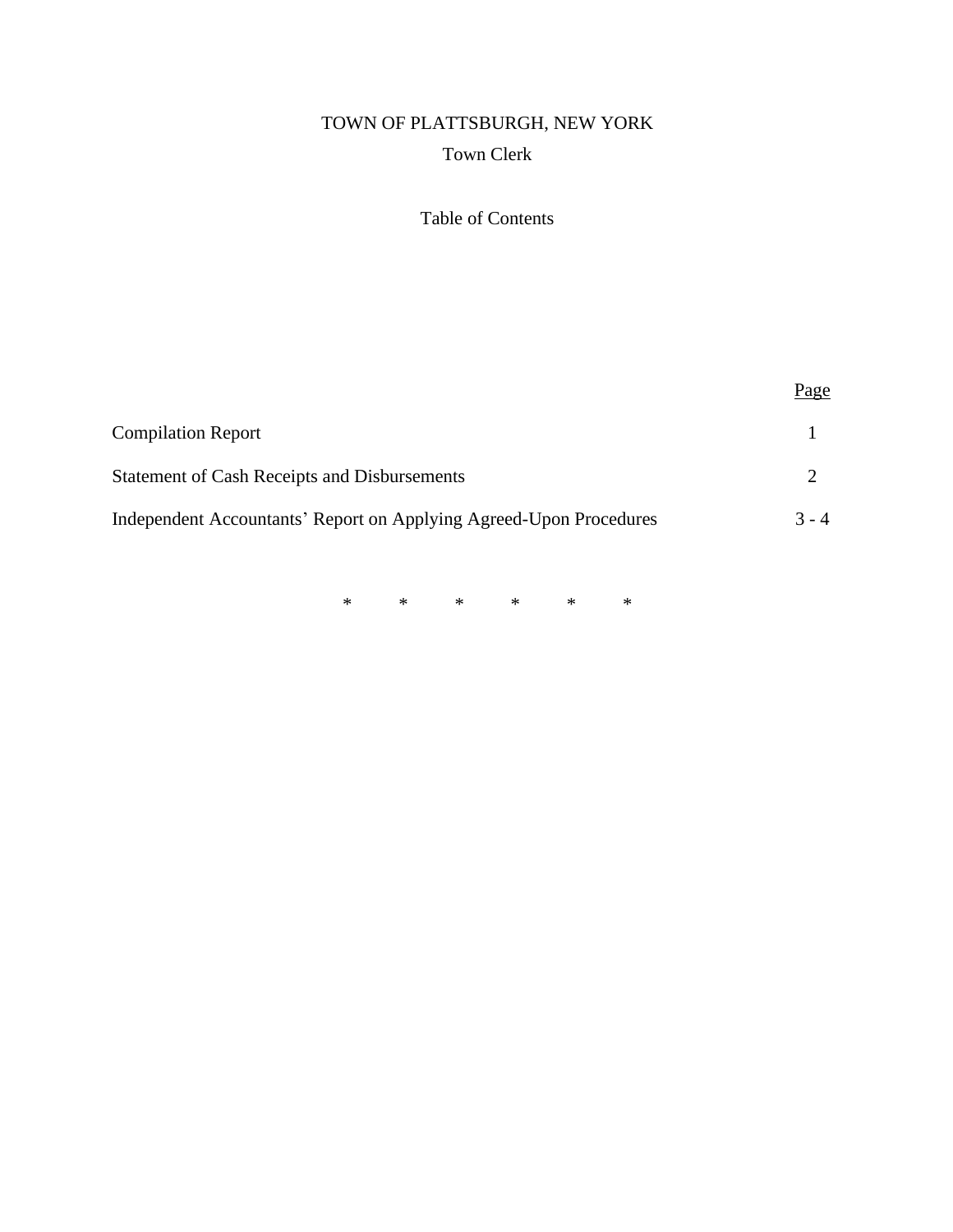# TOWN OF PLATTSBURGH, NEW YORK Town Clerk

## Table of Contents

|                                                                    | Page    |
|--------------------------------------------------------------------|---------|
| <b>Compilation Report</b>                                          |         |
| Statement of Cash Receipts and Disbursements                       |         |
| Independent Accountants' Report on Applying Agreed-Upon Procedures | $3 - 4$ |

\* \* \* \* \* \*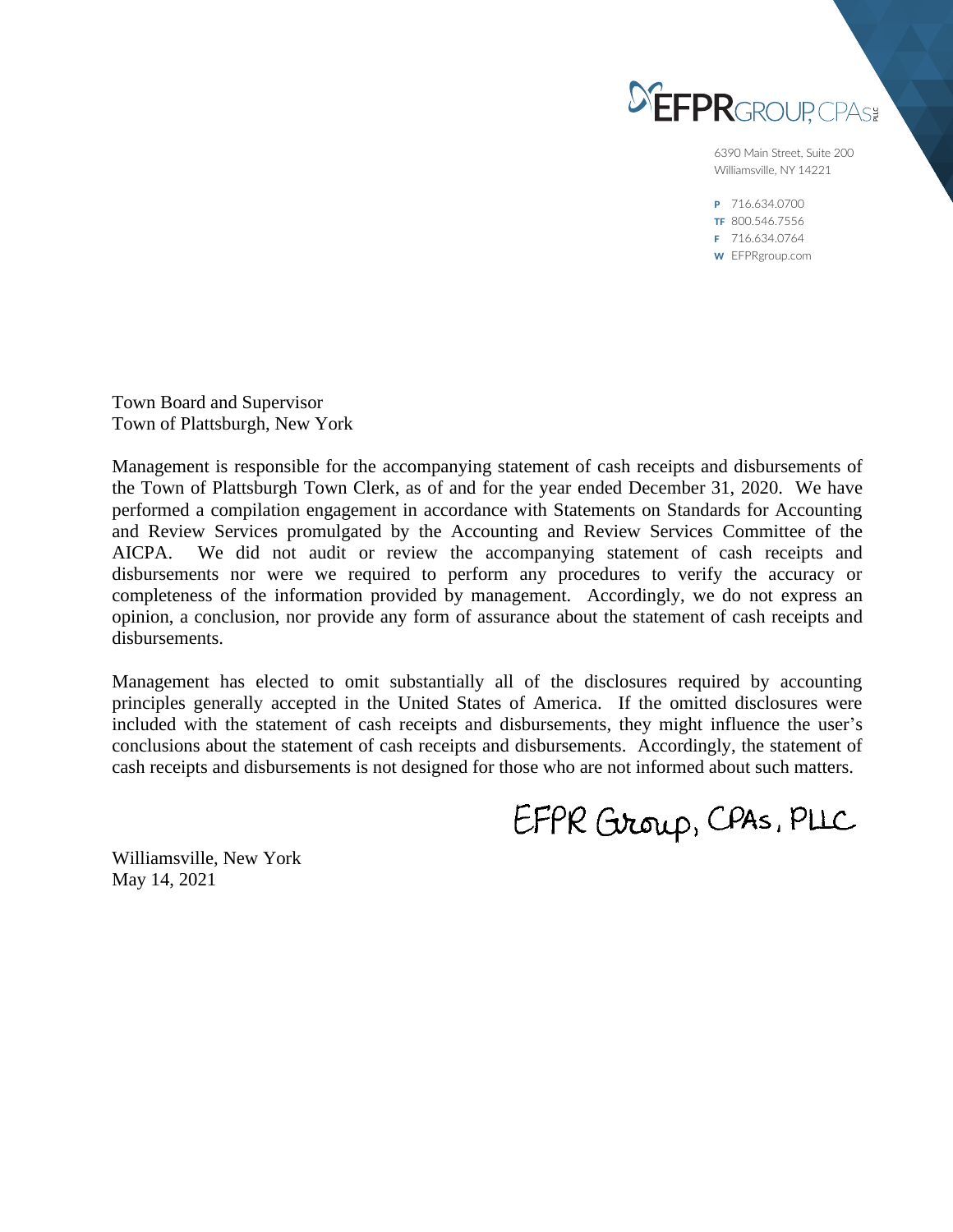

6390 Main Street, Suite 200 Williamsville, NY 14221

P 716.634.0700 TF 800.546.7556 F 716.634.0764 W EFPRgroup.com

Town Board and Supervisor Town of Plattsburgh, New York

Management is responsible for the accompanying statement of cash receipts and disbursements of the Town of Plattsburgh Town Clerk, as of and for the year ended December 31, 2020. We have performed a compilation engagement in accordance with Statements on Standards for Accounting and Review Services promulgated by the Accounting and Review Services Committee of the AICPA. We did not audit or review the accompanying statement of cash receipts and disbursements nor were we required to perform any procedures to verify the accuracy or completeness of the information provided by management. Accordingly, we do not express an opinion, a conclusion, nor provide any form of assurance about the statement of cash receipts and disbursements.

Management has elected to omit substantially all of the disclosures required by accounting principles generally accepted in the United States of America. If the omitted disclosures were included with the statement of cash receipts and disbursements, they might influence the user's conclusions about the statement of cash receipts and disbursements. Accordingly, the statement of cash receipts and disbursements is not designed for those who are not informed about such matters.

EFPR Group, CPAS, PLLC

Williamsville, New York May 14, 2021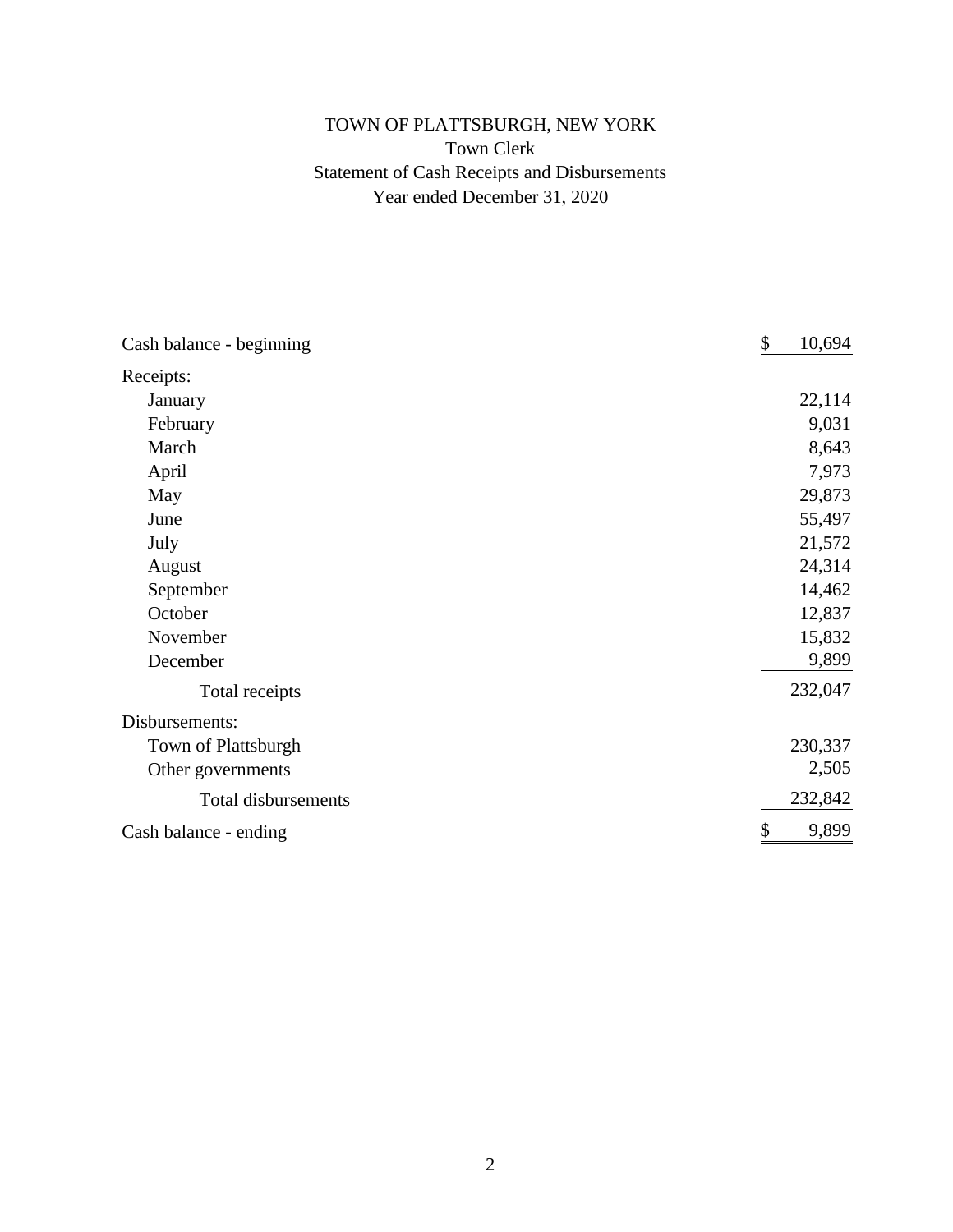## TOWN OF PLATTSBURGH, NEW YORK Town Clerk Statement of Cash Receipts and Disbursements Year ended December 31, 2020

| Cash balance - beginning   | \$<br>10,694 |
|----------------------------|--------------|
| Receipts:                  |              |
| January                    | 22,114       |
| February                   | 9,031        |
| March                      | 8,643        |
| April                      | 7,973        |
| May                        | 29,873       |
| June                       | 55,497       |
| July                       | 21,572       |
| August                     | 24,314       |
| September                  | 14,462       |
| October                    | 12,837       |
| November                   | 15,832       |
| December                   | 9,899        |
| Total receipts             | 232,047      |
| Disbursements:             |              |
| Town of Plattsburgh        | 230,337      |
| Other governments          | 2,505        |
| <b>Total disbursements</b> | 232,842      |
| Cash balance - ending      | 9,899<br>\$  |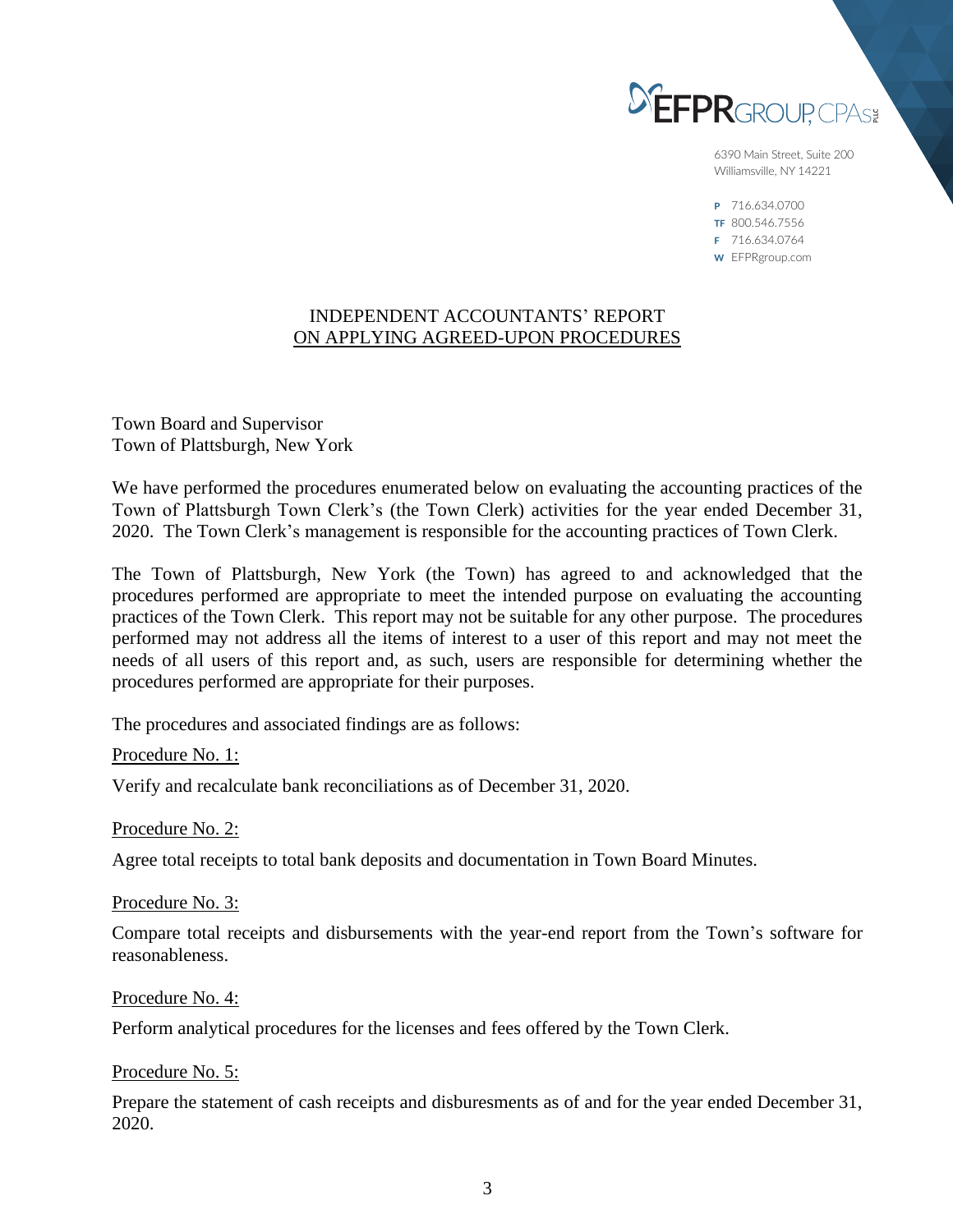

6390 Main Street, Suite 200 Williamsville, NY 14221

P 716.634.0700 TF 800.546.7556 F 716.634.0764 W EFPRgroup.com

#### INDEPENDENT ACCOUNTANTS' REPORT ON APPLYING AGREED-UPON PROCEDURES

Town Board and Supervisor Town of Plattsburgh, New York

We have performed the procedures enumerated below on evaluating the accounting practices of the Town of Plattsburgh Town Clerk's (the Town Clerk) activities for the year ended December 31, 2020. The Town Clerk's management is responsible for the accounting practices of Town Clerk.

The Town of Plattsburgh, New York (the Town) has agreed to and acknowledged that the procedures performed are appropriate to meet the intended purpose on evaluating the accounting practices of the Town Clerk. This report may not be suitable for any other purpose. The procedures performed may not address all the items of interest to a user of this report and may not meet the needs of all users of this report and, as such, users are responsible for determining whether the procedures performed are appropriate for their purposes.

The procedures and associated findings are as follows:

Procedure No. 1:

Verify and recalculate bank reconciliations as of December 31, 2020.

Procedure No. 2:

Agree total receipts to total bank deposits and documentation in Town Board Minutes.

Procedure No. 3:

Compare total receipts and disbursements with the year-end report from the Town's software for reasonableness.

Procedure No. 4:

Perform analytical procedures for the licenses and fees offered by the Town Clerk.

Procedure No. 5:

Prepare the statement of cash receipts and disburesments as of and for the year ended December 31, 2020.